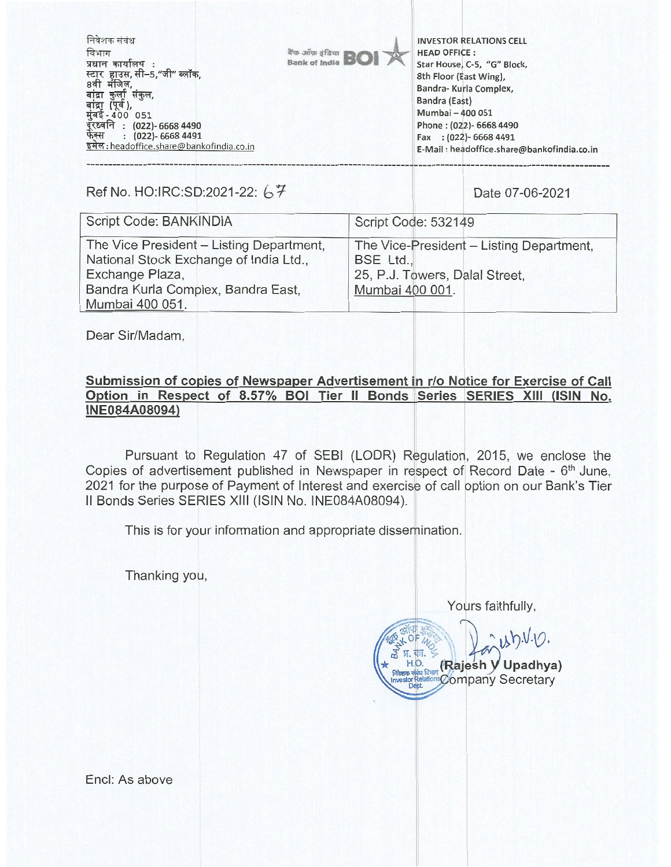निवेशक संबंध **INVESTOR RELATIONS CELL**  विभाग are anno sfàrn **HEAD OFFICE :**  Bank of India प्रधान कार्यालय : **Star House, C-5, "G" Block, 8th Floor (East Wing),**  टार स्टार हाउस,सा–५,"जा″ ब्लाक,<br>8वी मंजिल, **Bandra- Kurla Complex,**  बांद्रा कुर्ला संकुल, **Bandra (East)**  n (पूर्व),<br>ई <u>-</u> 400 051 **Mumbai —400 051 (022)- 6668 4490 Phone : (022)- 6668 4490**  र्फेक्स **(022)- 6668 4491 Fax : (022)- 6668 4491 :** headoffice.share@bankofindia.co.in **E-Mail : headoffice.share@bankofindia,co.in** 

Ref No. HO:IRC:SD:2021-22: 67

| Script Code: BANKINDIA                                                                                                                                         | Script Code: 532149                                                                                        |
|----------------------------------------------------------------------------------------------------------------------------------------------------------------|------------------------------------------------------------------------------------------------------------|
| The Vice President - Listing Department,<br>National Stock Exchange of India Ltd.,<br>Exchange Plaza,<br>Bandra Kurla Complex, Bandra East,<br>Mumbai 400 051. | The Vice-President - Listing Department,<br>BSE Ltd.,<br>25, P.J. Towers, Dalal Street,<br>Mumbai 400 001. |

Dear Sir/Madam,

## **Submission of copies of Newspaper Advertisement in r/o Notice for Exercise of Call Option in Respect of 8.57% BOI Tier II Bonds Series SERIES XIII (ISIN No. INE084A08094)**

Pursuant to Regulation 47 of SEBI (LODR) Regulation, 2015, we enclose the Copies of advertisement published in Newspaper in respect of Record Date - 6<sup>th</sup> June, 2021 for the purpose of Payment of Interest and exercise of call option on our Bank's Tier II Bonds Series SERIES XIII (ISIN No. INE084A08094).

This is for your information and appropriate dissemination.

Thanking you,

Yours faithfully,

 $u$  b.V.V  $\frac{1}{2}$  y.  $\frac{1}{2}$ . **(Rajesh V Upadhya)** Company Secretary **Investor Relations** 

Encl: As above